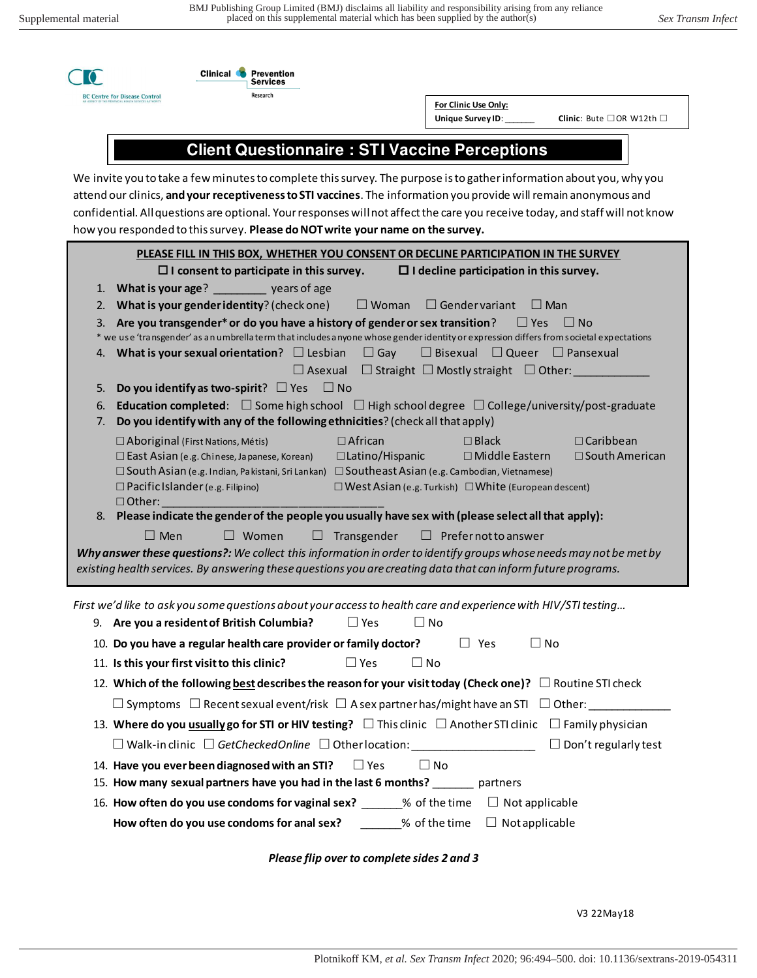



**For Clinic Use Only:** 

Unique Survey ID:

**Unique Survey ID**: \_\_\_\_\_\_\_ **Clinic**: Bute □ OR W12th □

## **Client Questionnaire : STI Vaccine Perceptions**

We invite you to take a few minutes to complete this survey. The purpose is to gather information about you, why you attend our clinics, **and your receptiveness to STI vaccines**. The information you provide will remain anonymous and confidential. All questions are optional. Your responses will not affect the care you receive today, and staff will not know how you responded to this survey. **Please do NOT write your name on the survey.** 

|                                                                                                   | PLEASE FILL IN THIS BOX, WHETHER YOU CONSENT OR DECLINE PARTICIPATION IN THE SURVEY                                                                                                                                                                     |  |  |  |
|---------------------------------------------------------------------------------------------------|---------------------------------------------------------------------------------------------------------------------------------------------------------------------------------------------------------------------------------------------------------|--|--|--|
| $\Box$ I decline participation in this survey.<br>$\Box$ I consent to participate in this survey. |                                                                                                                                                                                                                                                         |  |  |  |
|                                                                                                   | 1. What is your age? years of age                                                                                                                                                                                                                       |  |  |  |
| 2.                                                                                                | What is your gender identity? (check one)<br>$\Box$ Woman<br>$\Box$ Gendervariant<br>$\Box$ Man                                                                                                                                                         |  |  |  |
| 3.                                                                                                | Are you transgender* or do you have a history of gender or sex transition?<br>$\Box$ Yes<br>$\Box$ No                                                                                                                                                   |  |  |  |
|                                                                                                   | * we use 'transgender' as an umbrellaterm that includes anyone whose gender identity or expression differs from societal expectations<br>What is your sexual orientation? $\Box$ Lesbian<br>$\Box$ Gay<br>$\Box$ Bisexual $\Box$ Queer $\Box$ Pansexual |  |  |  |
| 4.                                                                                                | $\Box$ Asexual<br>$\Box$ Straight $\Box$ Mostly straight $\Box$ Other:                                                                                                                                                                                  |  |  |  |
| 5.                                                                                                | Do you identify as two-spirit? $\Box$ Yes<br>$\Box$ No                                                                                                                                                                                                  |  |  |  |
| 6.                                                                                                | <b>Education completed:</b> $\Box$ Some high school $\Box$ High school degree $\Box$ College/university/post-graduate                                                                                                                                   |  |  |  |
| 7.                                                                                                | Do you identify with any of the following ethnicities? (check all that apply)                                                                                                                                                                           |  |  |  |
|                                                                                                   | $\Box$ African<br>$\Box$ Caribbean<br>□ Aboriginal (First Nations, Métis)<br>$\Box$ Black                                                                                                                                                               |  |  |  |
|                                                                                                   | □Latino/Hispanic<br>□ East Asian (e.g. Chinese, Japanese, Korean)<br>□ Middle Eastern<br>$\Box$ South American                                                                                                                                          |  |  |  |
|                                                                                                   | □ South Asian (e.g. Indian, Pakistani, Sri Lankan) □ Southeast Asian (e.g. Cambodian, Vietnamese)                                                                                                                                                       |  |  |  |
|                                                                                                   | $\Box$ Pacific Islander (e.g. Filipino)<br>$\Box$ West Asian (e.g. Turkish) $\Box$ White (European descent)<br>$\Box$ Other:                                                                                                                            |  |  |  |
|                                                                                                   | 8. Please indicate the gender of the people you usually have sex with (please select all that apply):                                                                                                                                                   |  |  |  |
|                                                                                                   |                                                                                                                                                                                                                                                         |  |  |  |
|                                                                                                   | $\Box$ Men<br>$\Box$ Prefer not to answer<br>$\Box$ Women<br>Transgender<br>ப                                                                                                                                                                           |  |  |  |
|                                                                                                   | Why answer these questions?: We collect this information in order to identify groups whose needs may not be met by                                                                                                                                      |  |  |  |
|                                                                                                   | existing health services. By answering these questions you are creating data that can inform future programs.                                                                                                                                           |  |  |  |
|                                                                                                   |                                                                                                                                                                                                                                                         |  |  |  |
|                                                                                                   | First we'd like to ask you some questions about your access to health care and experience with HIV/STI testing                                                                                                                                          |  |  |  |
|                                                                                                   | $\Box$ Yes<br>9. Are you a resident of British Columbia?<br>$\Box$ No                                                                                                                                                                                   |  |  |  |
|                                                                                                   | $\Box$ No<br>10. Do you have a regular health care provider or family doctor?<br>$\Box$ Yes                                                                                                                                                             |  |  |  |
|                                                                                                   | $\Box$ Yes<br>$\Box$ No<br>11. Is this your first visit to this clinic?                                                                                                                                                                                 |  |  |  |
|                                                                                                   | 12. Which of the following best describes the reason for your visit today (Check one)? $\Box$ Routine STI check                                                                                                                                         |  |  |  |
|                                                                                                   |                                                                                                                                                                                                                                                         |  |  |  |
|                                                                                                   | 13. Where do you usually go for STI or HIV testing? $\Box$ This clinic $\Box$ Another STI clinic $\Box$ Family physician                                                                                                                                |  |  |  |
|                                                                                                   | $\square$ Walk-in clinic $\square$ GetCheckedOnline $\square$ Other location:<br>$\Box$ Don't regularly test                                                                                                                                            |  |  |  |
|                                                                                                   | 14. Have you ever been diagnosed with an STI? $\square$ Yes<br>$\Box$ No                                                                                                                                                                                |  |  |  |
|                                                                                                   | 15. How many sexual partners have you had in the last 6 months? _______ partners                                                                                                                                                                        |  |  |  |

**How often do you use condoms for anal sex?** \_\_\_\_\_\_\_% of the time □ Not applicable

*Please flip over to complete sides 2 and 3* 

V3 22May18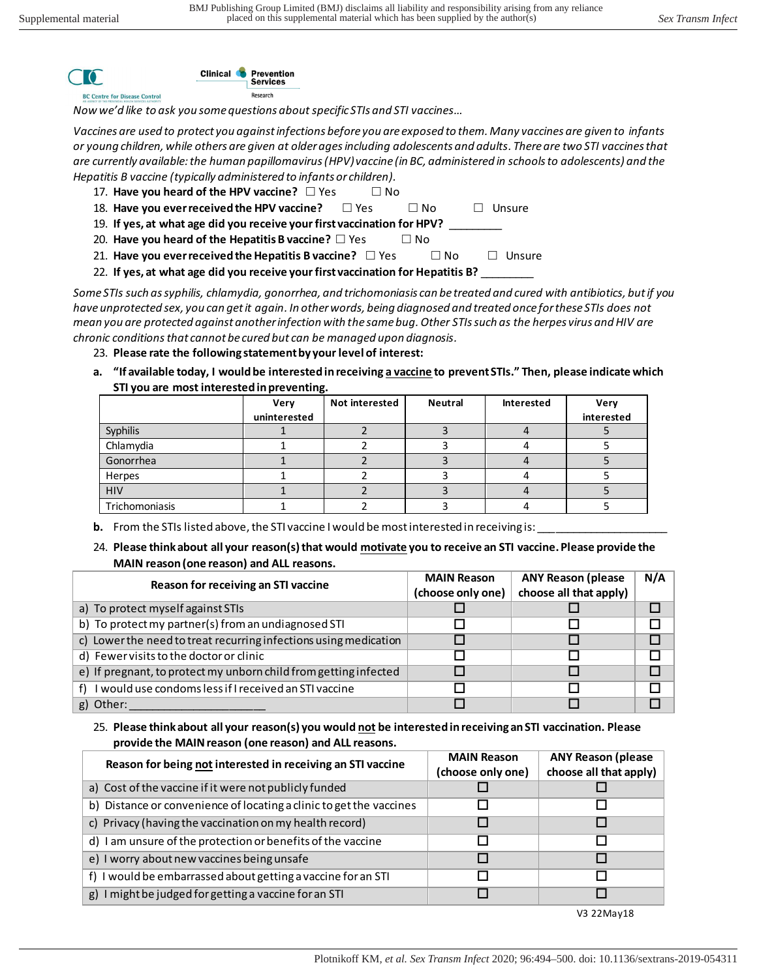

Research *Now we'd like to ask you some questions about specific STIs and STI vaccines…* 

Services

*Vaccines are used to protect you against infections before you are exposed to them. Many vaccines are given to infants or young children, while others are given at older ages including adolescents and adults. There are two STI vaccines that are currently available: the human papillomavirus (HPV) vaccine (in BC, administered in schools to adolescents) and the Hepatitis B vaccine (typically administered to infants or children).*

- 17. **Have you heard of the HPV vaccine?** □ Yes □ No
- 18. **Have you ever received the HPV vaccine?** □ Yes □ No □ Unsure
- 19. If yes, at what age did you receive your first vaccination for HPV?
- 20. **Have you heard of the Hepatitis B vaccine?** □ Yes □ No
- 21. Have you ever received the Hepatitis B vaccine? □ Yes □ No □ Unsure
- 22. **If yes, at what age did you receive your first vaccination for Hepatitis B?** \_\_\_\_\_\_\_\_\_

*Some STIs such as syphilis, chlamydia, gonorrhea, and trichomoniasis can be treated and cured with antibiotics, but if you have unprotected sex, you can get it again. In other words, being diagnosed and treated once for these STIs does not mean you are protected against another infection with the same bug. Other STIs such as the herpes virus and HIV are chronic conditions that cannot be cured but can be managed upon diagnosis.* 

- 23. **Please rate the following statement by your level of interest:**
- **a. "If available today, I would be interested in receiving a vaccine to prevent STIs." Then, please indicate which STI you are most interested in preventing.**

|                | Very<br>uninterested | Not interested | <b>Neutral</b> | Interested | Very<br>interested |
|----------------|----------------------|----------------|----------------|------------|--------------------|
| Syphilis       |                      |                |                |            |                    |
| Chlamydia      |                      |                |                |            |                    |
| Gonorrhea      |                      |                |                |            |                    |
| Herpes         |                      |                |                |            |                    |
| <b>HIV</b>     |                      |                |                |            |                    |
| Trichomoniasis |                      |                |                |            |                    |

**b.** From the STIs listed above, the STI vaccine I would be most interested in receiving is:

24. **Please think about all your reason(s) that would motivate you to receive an STI vaccine. Please provide the MAIN reason (one reason) and ALL reasons.** 

| Reason for receiving an STI vaccine                              | <b>MAIN Reason</b> | <b>ANY Reason (please</b> | N/A |
|------------------------------------------------------------------|--------------------|---------------------------|-----|
|                                                                  | (choose only one)  | choose all that apply)    |     |
| a) To protect myself against STIs                                |                    |                           |     |
| b) To protect my partner(s) from an undiagnosed STI              |                    |                           |     |
| c) Lower the need to treat recurring infections using medication |                    |                           |     |
| d) Fewer visits to the doctor or clinic                          |                    |                           |     |
| e) If pregnant, to protect my unborn child from getting infected |                    |                           |     |
| I would use condoms less if I received an STI vaccine            |                    |                           |     |
| g) Other:                                                        |                    |                           |     |

25. **Please think about all your reason(s) you would not be interested in receiving an STI vaccination. Please provide the MAIN reason (one reason) and ALL reasons.** 

| Reason for being not interested in receiving an STI vaccine         | <b>MAIN Reason</b><br>(choose only one) | <b>ANY Reason (please</b><br>choose all that apply) |
|---------------------------------------------------------------------|-----------------------------------------|-----------------------------------------------------|
| a) Cost of the vaccine if it were not publicly funded               |                                         |                                                     |
| b) Distance or convenience of locating a clinic to get the vaccines |                                         |                                                     |
| c) Privacy (having the vaccination on my health record)             |                                         |                                                     |
| d) I am unsure of the protection or benefits of the vaccine         |                                         |                                                     |
| e) I worry about new vaccines being unsafe                          |                                         |                                                     |
| f) I would be embarrassed about getting a vaccine for an STI        |                                         |                                                     |
| g) I might be judged for getting a vaccine for an STI               |                                         |                                                     |

V3 22May18